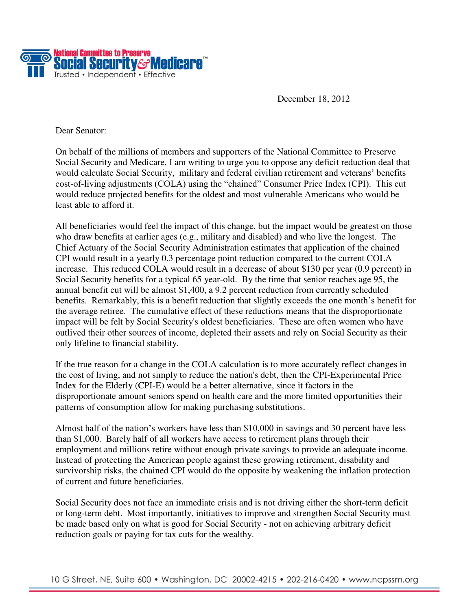

December 18, 2012

Dear Senator:

On behalf of the millions of members and supporters of the National Committee to Preserve Social Security and Medicare, I am writing to urge you to oppose any deficit reduction deal that would calculate Social Security, military and federal civilian retirement and veterans' benefits cost-of-living adjustments (COLA) using the "chained" Consumer Price Index (CPI). This cut would reduce projected benefits for the oldest and most vulnerable Americans who would be least able to afford it.

All beneficiaries would feel the impact of this change, but the impact would be greatest on those who draw benefits at earlier ages (e.g., military and disabled) and who live the longest. The Chief Actuary of the Social Security Administration estimates that application of the chained CPI would result in a yearly 0.3 percentage point reduction compared to the current COLA increase. This reduced COLA would result in a decrease of about \$130 per year (0.9 percent) in Social Security benefits for a typical 65 year-old. By the time that senior reaches age 95, the annual benefit cut will be almost \$1,400, a 9.2 percent reduction from currently scheduled benefits. Remarkably, this is a benefit reduction that slightly exceeds the one month's benefit for the average retiree. The cumulative effect of these reductions means that the disproportionate impact will be felt by Social Security's oldest beneficiaries. These are often women who have outlived their other sources of income, depleted their assets and rely on Social Security as their only lifeline to financial stability.

If the true reason for a change in the COLA calculation is to more accurately reflect changes in the cost of living, and not simply to reduce the nation's debt, then the CPI-Experimental Price Index for the Elderly (CPI-E) would be a better alternative, since it factors in the disproportionate amount seniors spend on health care and the more limited opportunities their patterns of consumption allow for making purchasing substitutions.

Almost half of the nation's workers have less than \$10,000 in savings and 30 percent have less than \$1,000. Barely half of all workers have access to retirement plans through their employment and millions retire without enough private savings to provide an adequate income. Instead of protecting the American people against these growing retirement, disability and survivorship risks, the chained CPI would do the opposite by weakening the inflation protection of current and future beneficiaries.

Social Security does not face an immediate crisis and is not driving either the short-term deficit or long-term debt. Most importantly, initiatives to improve and strengthen Social Security must be made based only on what is good for Social Security - not on achieving arbitrary deficit reduction goals or paying for tax cuts for the wealthy.